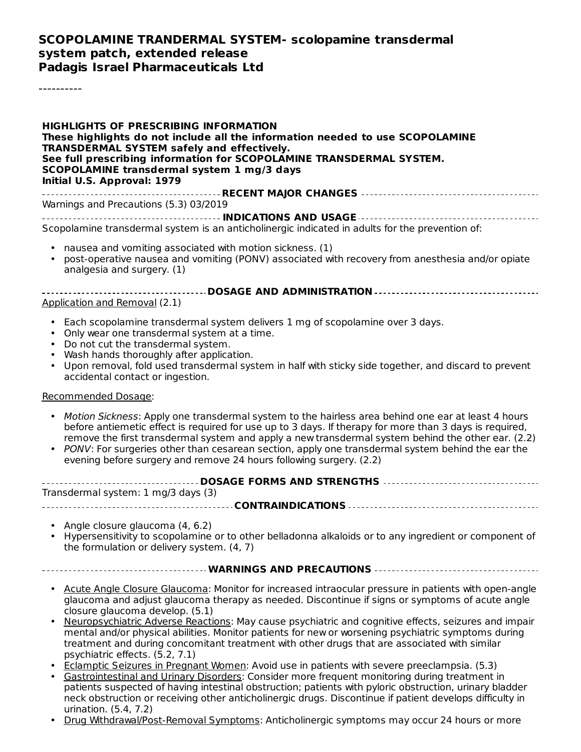#### **SCOPOLAMINE TRANDERMAL SYSTEM- scolopamine transdermal system patch, extended release Padagis Israel Pharmaceuticals Ltd**

----------

**HIGHLIGHTS OF PRESCRIBING INFORMATION These highlights do not include all the information needed to use SCOPOLAMINE TRANSDERMAL SYSTEM safely and effectively. See full prescribing information for SCOPOLAMINE TRANSDERMAL SYSTEM. SCOPOLAMINE transdermal system 1 mg/3 days Initial U.S. Approval: 1979 RECENT MAJOR CHANGES**

Warnings and Precautions (5.3) 03/2019

**INDICATIONS AND USAGE** Scopolamine transdermal system is an anticholinergic indicated in adults for the prevention of:

- nausea and vomiting associated with motion sickness. (1)
- post-operative nausea and vomiting (PONV) associated with recovery from anesthesia and/or opiate analgesia and surgery. (1)

#### **DOSAGE AND ADMINISTRATION** Application and Removal (2.1)

- Each scopolamine transdermal system delivers 1 mg of scopolamine over 3 days.
- Only wear one transdermal system at a time.
- Do not cut the transdermal system.
- Wash hands thoroughly after application.
- Upon removal, fold used transdermal system in half with sticky side together, and discard to prevent accidental contact or ingestion.

#### Recommended Dosage:

- Motion Sickness: Apply one transdermal system to the hairless area behind one ear at least 4 hours before antiemetic effect is required for use up to 3 days. If therapy for more than 3 days is required, remove the first transdermal system and apply a new transdermal system behind the other ear. (2.2)
- PONV: For surgeries other than cesarean section, apply one transdermal system behind the ear the evening before surgery and remove 24 hours following surgery. (2.2)

| ------------------------------------ DOSAGE FORMS AND STRENGTHS ----------------------------------- |  |  |  |  |  |  |
|-----------------------------------------------------------------------------------------------------|--|--|--|--|--|--|
| Transdermal system: 1 mg/3 days (3)                                                                 |  |  |  |  |  |  |
|                                                                                                     |  |  |  |  |  |  |

- Angle closure glaucoma (4, 6.2)
- Hypersensitivity to scopolamine or to other belladonna alkaloids or to any ingredient or component of the formulation or delivery system. (4, 7)

#### **WARNINGS AND PRECAUTIONS**

- **Acute Angle Closure Glaucoma: Monitor for increased intraocular pressure in patients with open-angle** glaucoma and adjust glaucoma therapy as needed. Discontinue if signs or symptoms of acute angle closure glaucoma develop. (5.1)
- Neuropsychiatric Adverse Reactions: May cause psychiatric and cognitive effects, seizures and impair mental and/or physical abilities. Monitor patients for new or worsening psychiatric symptoms during treatment and during concomitant treatment with other drugs that are associated with similar psychiatric effects. (5.2, 7.1)
- Eclamptic Seizures in Pregnant Women: Avoid use in patients with severe preeclampsia. (5.3)
- Gastrointestinal and Urinary Disorders: Consider more frequent monitoring during treatment in patients suspected of having intestinal obstruction; patients with pyloric obstruction, urinary bladder neck obstruction or receiving other anticholinergic drugs. Discontinue if patient develops difficulty in urination. (5.4, 7.2)
- Drug Withdrawal/Post-Removal Symptoms: Anticholinergic symptoms may occur 24 hours or more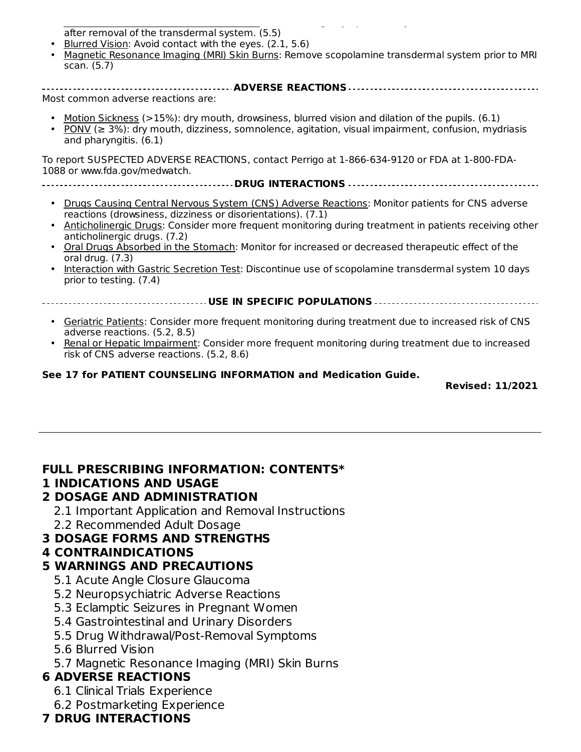Drug Withdrawal/Post-Removal Symptoms: Anticholinergic symptoms may occur 24 hours or more after removal of the transdermal system. (5.5)

- Blurred Vision: Avoid contact with the eyes. (2.1, 5.6)
- Magnetic Resonance Imaging (MRI) Skin Burns: Remove scopolamine transdermal system prior to MRI scan. (5.7)

**ADVERSE REACTIONS** Most common adverse reactions are:

- Motion Sickness (>15%): dry mouth, drowsiness, blurred vision and dilation of the pupils. (6.1)
- PONV ( $\geq$  3%): dry mouth, dizziness, somnolence, agitation, visual impairment, confusion, mydriasis and pharyngitis. (6.1)

To report SUSPECTED ADVERSE REACTIONS, contact Perrigo at 1-866-634-9120 or FDA at 1-800-FDA-1088 or www.fda.gov/medwatch.

- **DRUG INTERACTIONS**
	- Drugs Causing Central Nervous System (CNS) Adverse Reactions: Monitor patients for CNS adverse reactions (drowsiness, dizziness or disorientations). (7.1)
	- Anticholinergic Drugs: Consider more frequent monitoring during treatment in patients receiving other anticholinergic drugs. (7.2)
	- Oral Drugs Absorbed in the Stomach: Monitor for increased or decreased therapeutic effect of the oral drug. (7.3)
	- Interaction with Gastric Secretion Test: Discontinue use of scopolamine transdermal system 10 days prior to testing. (7.4)

**USE IN SPECIFIC POPULATIONS**

- **Geriatric Patients: Consider more frequent monitoring during treatment due to increased risk of CNS** adverse reactions. (5.2, 8.5)
- Renal or Hepatic Impairment: Consider more frequent monitoring during treatment due to increased risk of CNS adverse reactions. (5.2, 8.6)

#### **See 17 for PATIENT COUNSELING INFORMATION and Medication Guide.**

**Revised: 11/2021**

#### **FULL PRESCRIBING INFORMATION: CONTENTS\***

#### **1 INDICATIONS AND USAGE**

#### **2 DOSAGE AND ADMINISTRATION**

- 2.1 Important Application and Removal Instructions
- 2.2 Recommended Adult Dosage

#### **3 DOSAGE FORMS AND STRENGTHS**

#### **4 CONTRAINDICATIONS**

#### **5 WARNINGS AND PRECAUTIONS**

- 5.1 Acute Angle Closure Glaucoma
- 5.2 Neuropsychiatric Adverse Reactions
- 5.3 Eclamptic Seizures in Pregnant Women
- 5.4 Gastrointestinal and Urinary Disorders
- 5.5 Drug Withdrawal/Post-Removal Symptoms
- 5.6 Blurred Vision
- 5.7 Magnetic Resonance Imaging (MRI) Skin Burns

# **6 ADVERSE REACTIONS**

- 6.1 Clinical Trials Experience
- 6.2 Postmarketing Experience

# **7 DRUG INTERACTIONS**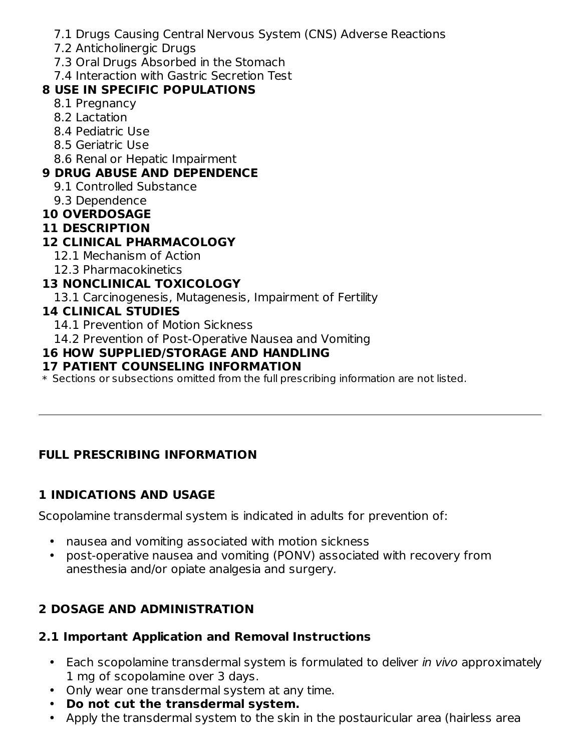- 7.1 Drugs Causing Central Nervous System (CNS) Adverse Reactions
- 7.2 Anticholinergic Drugs
- 7.3 Oral Drugs Absorbed in the Stomach
- 7.4 Interaction with Gastric Secretion Test

# **8 USE IN SPECIFIC POPULATIONS**

- 8.1 Pregnancy
- 8.2 Lactation
- 8.4 Pediatric Use
- 8.5 Geriatric Use
- 8.6 Renal or Hepatic Impairment

# **9 DRUG ABUSE AND DEPENDENCE**

- 9.1 Controlled Substance
- 9.3 Dependence
- **10 OVERDOSAGE**
- **11 DESCRIPTION**

## **12 CLINICAL PHARMACOLOGY**

- 12.1 Mechanism of Action
- 12.3 Pharmacokinetics

# **13 NONCLINICAL TOXICOLOGY**

13.1 Carcinogenesis, Mutagenesis, Impairment of Fertility

## **14 CLINICAL STUDIES**

- 14.1 Prevention of Motion Sickness
- 14.2 Prevention of Post-Operative Nausea and Vomiting

#### **16 HOW SUPPLIED/STORAGE AND HANDLING**

#### **17 PATIENT COUNSELING INFORMATION**

\* Sections or subsections omitted from the full prescribing information are not listed.

# **FULL PRESCRIBING INFORMATION**

# **1 INDICATIONS AND USAGE**

Scopolamine transdermal system is indicated in adults for prevention of:

- nausea and vomiting associated with motion sickness
- $\bullet$ post-operative nausea and vomiting (PONV) associated with recovery from anesthesia and/or opiate analgesia and surgery.

# **2 DOSAGE AND ADMINISTRATION**

#### **2.1 Important Application and Removal Instructions**

- Each scopolamine transdermal system is formulated to deliver in vivo approximately 1 mg of scopolamine over 3 days.
- Only wear one transdermal system at any time.
- **Do not cut the transdermal system.**
- $\bullet$ Apply the transdermal system to the skin in the postauricular area (hairless area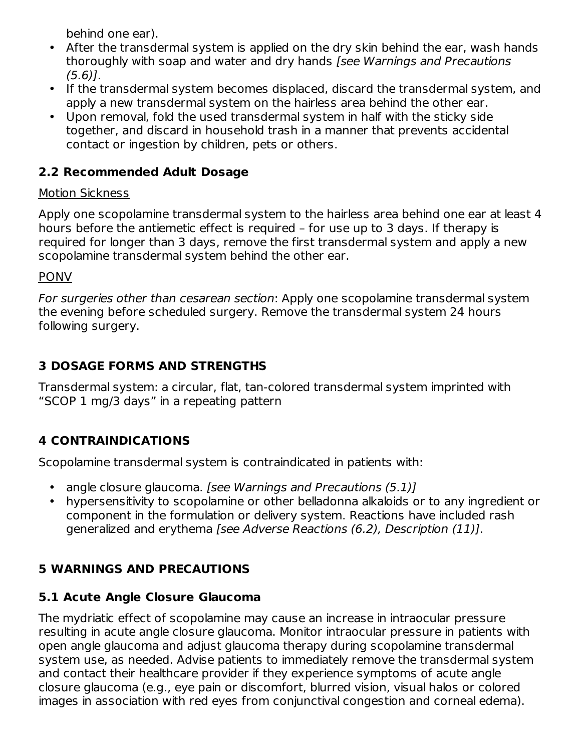behind one ear).

- After the transdermal system is applied on the dry skin behind the ear, wash hands thoroughly with soap and water and dry hands [see Warnings and Precautions (5.6)].
- If the transdermal system becomes displaced, discard the transdermal system, and apply a new transdermal system on the hairless area behind the other ear.
- Upon removal, fold the used transdermal system in half with the sticky side together, and discard in household trash in a manner that prevents accidental contact or ingestion by children, pets or others.

# **2.2 Recommended Adult Dosage**

#### Motion Sickness

Apply one scopolamine transdermal system to the hairless area behind one ear at least 4 hours before the antiemetic effect is required – for use up to 3 days. If therapy is required for longer than 3 days, remove the first transdermal system and apply a new scopolamine transdermal system behind the other ear.

#### PONV

For surgeries other than cesarean section: Apply one scopolamine transdermal system the evening before scheduled surgery. Remove the transdermal system 24 hours following surgery.

# **3 DOSAGE FORMS AND STRENGTHS**

Transdermal system: a circular, flat, tan-colored transdermal system imprinted with "SCOP 1 mg/3 days" in a repeating pattern

# **4 CONTRAINDICATIONS**

Scopolamine transdermal system is contraindicated in patients with:

- angle closure glaucoma. [see Warnings and Precautions (5.1)]
- hypersensitivity to scopolamine or other belladonna alkaloids or to any ingredient or component in the formulation or delivery system. Reactions have included rash generalized and erythema [see Adverse Reactions (6.2), Description (11)].

# **5 WARNINGS AND PRECAUTIONS**

# **5.1 Acute Angle Closure Glaucoma**

The mydriatic effect of scopolamine may cause an increase in intraocular pressure resulting in acute angle closure glaucoma. Monitor intraocular pressure in patients with open angle glaucoma and adjust glaucoma therapy during scopolamine transdermal system use, as needed. Advise patients to immediately remove the transdermal system and contact their healthcare provider if they experience symptoms of acute angle closure glaucoma (e.g., eye pain or discomfort, blurred vision, visual halos or colored images in association with red eyes from conjunctival congestion and corneal edema).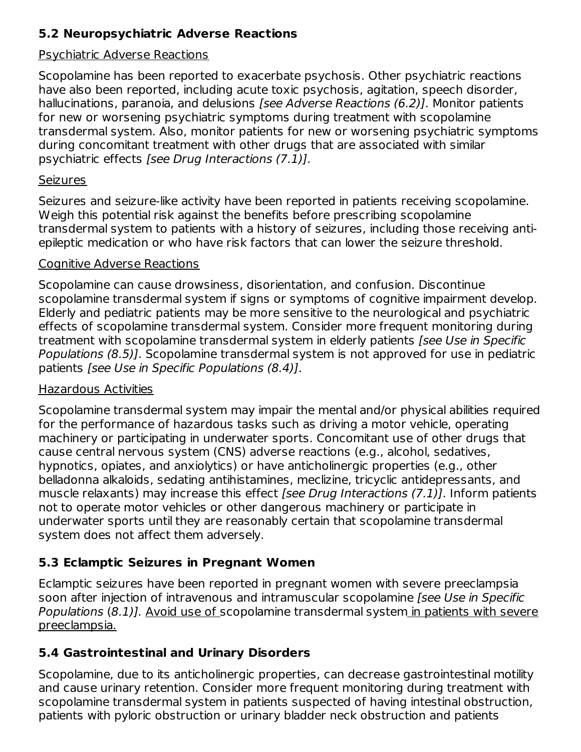# **5.2 Neuropsychiatric Adverse Reactions**

#### Psychiatric Adverse Reactions

Scopolamine has been reported to exacerbate psychosis. Other psychiatric reactions have also been reported, including acute toxic psychosis, agitation, speech disorder, hallucinations, paranoia, and delusions [see Adverse Reactions (6.2)]. Monitor patients for new or worsening psychiatric symptoms during treatment with scopolamine transdermal system. Also, monitor patients for new or worsening psychiatric symptoms during concomitant treatment with other drugs that are associated with similar psychiatric effects [see Drug Interactions (7.1)].

#### **Seizures**

Seizures and seizure-like activity have been reported in patients receiving scopolamine. Weigh this potential risk against the benefits before prescribing scopolamine transdermal system to patients with a history of seizures, including those receiving antiepileptic medication or who have risk factors that can lower the seizure threshold.

#### Cognitive Adverse Reactions

Scopolamine can cause drowsiness, disorientation, and confusion. Discontinue scopolamine transdermal system if signs or symptoms of cognitive impairment develop. Elderly and pediatric patients may be more sensitive to the neurological and psychiatric effects of scopolamine transdermal system. Consider more frequent monitoring during treatment with scopolamine transdermal system in elderly patients [see Use in Specific Populations (8.5)]. Scopolamine transdermal system is not approved for use in pediatric patients [see Use in Specific Populations (8.4)].

#### Hazardous Activities

Scopolamine transdermal system may impair the mental and/or physical abilities required for the performance of hazardous tasks such as driving a motor vehicle, operating machinery or participating in underwater sports. Concomitant use of other drugs that cause central nervous system (CNS) adverse reactions (e.g., alcohol, sedatives, hypnotics, opiates, and anxiolytics) or have anticholinergic properties (e.g., other belladonna alkaloids, sedating antihistamines, meclizine, tricyclic antidepressants, and muscle relaxants) may increase this effect *[see Drug Interactions (7.1)]*. Inform patients not to operate motor vehicles or other dangerous machinery or participate in underwater sports until they are reasonably certain that scopolamine transdermal system does not affect them adversely.

# **5.3 Eclamptic Seizures in Pregnant Women**

Eclamptic seizures have been reported in pregnant women with severe preeclampsia soon after injection of intravenous and intramuscular scopolamine [see Use in Specific Populations (8.1)]. Avoid use of scopolamine transdermal system in patients with severe preeclampsia.

# **5.4 Gastrointestinal and Urinary Disorders**

Scopolamine, due to its anticholinergic properties, can decrease gastrointestinal motility and cause urinary retention. Consider more frequent monitoring during treatment with scopolamine transdermal system in patients suspected of having intestinal obstruction, patients with pyloric obstruction or urinary bladder neck obstruction and patients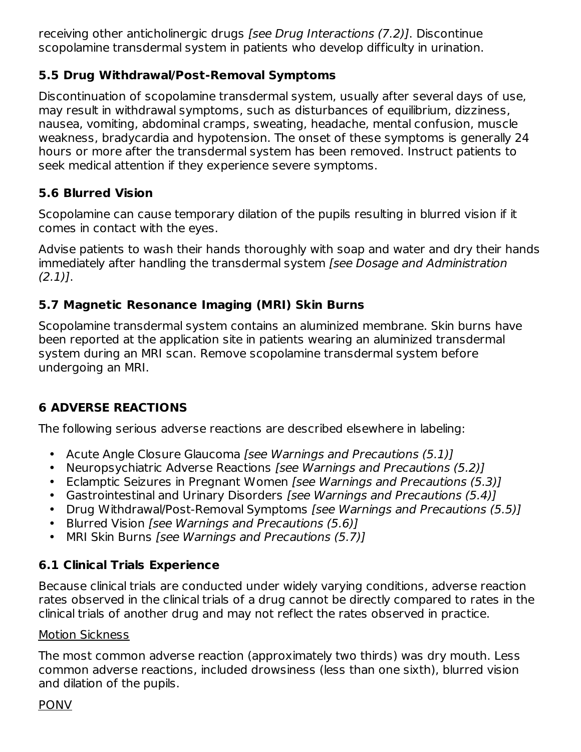receiving other anticholinergic drugs [see Drug Interactions (7.2)]. Discontinue scopolamine transdermal system in patients who develop difficulty in urination.

#### **5.5 Drug Withdrawal/Post-Removal Symptoms**

Discontinuation of scopolamine transdermal system, usually after several days of use, may result in withdrawal symptoms, such as disturbances of equilibrium, dizziness, nausea, vomiting, abdominal cramps, sweating, headache, mental confusion, muscle weakness, bradycardia and hypotension. The onset of these symptoms is generally 24 hours or more after the transdermal system has been removed. Instruct patients to seek medical attention if they experience severe symptoms.

# **5.6 Blurred Vision**

Scopolamine can cause temporary dilation of the pupils resulting in blurred vision if it comes in contact with the eyes.

Advise patients to wash their hands thoroughly with soap and water and dry their hands immediately after handling the transdermal system [see Dosage and Administration  $(2.1)$ ].

## **5.7 Magnetic Resonance Imaging (MRI) Skin Burns**

Scopolamine transdermal system contains an aluminized membrane. Skin burns have been reported at the application site in patients wearing an aluminized transdermal system during an MRI scan. Remove scopolamine transdermal system before undergoing an MRI.

# **6 ADVERSE REACTIONS**

The following serious adverse reactions are described elsewhere in labeling:

- Acute Angle Closure Glaucoma [see Warnings and Precautions (5.1)]
- Neuropsychiatric Adverse Reactions [see Warnings and Precautions (5.2)]
- Eclamptic Seizures in Pregnant Women [see Warnings and Precautions (5.3)]
- Gastrointestinal and Urinary Disorders [see Warnings and Precautions (5.4)]
- Drug Withdrawal/Post-Removal Symptoms [see Warnings and Precautions (5.5)]
- Blurred Vision [see Warnings and Precautions (5.6)]
- MRI Skin Burns [see Warnings and Precautions (5.7)]

# **6.1 Clinical Trials Experience**

Because clinical trials are conducted under widely varying conditions, adverse reaction rates observed in the clinical trials of a drug cannot be directly compared to rates in the clinical trials of another drug and may not reflect the rates observed in practice.

#### Motion Sickness

The most common adverse reaction (approximately two thirds) was dry mouth. Less common adverse reactions, included drowsiness (less than one sixth), blurred vision and dilation of the pupils.

#### PONV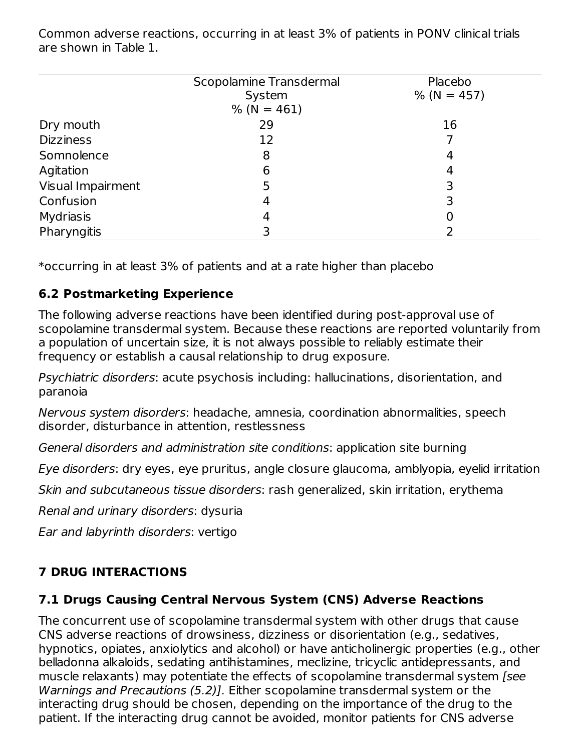Common adverse reactions, occurring in at least 3% of patients in PONV clinical trials are shown in Table 1.

|                   | Scopolamine Transdermal | Placebo        |
|-------------------|-------------------------|----------------|
|                   | System<br>$% (N = 461)$ | $\%$ (N = 457) |
| Dry mouth         | 29                      | 16             |
| <b>Dizziness</b>  | 12                      |                |
| Somnolence        | 8                       | 4              |
| Agitation         | 6                       | 4              |
| Visual Impairment | 5                       | 3              |
| Confusion         | 4                       |                |
| <b>Mydriasis</b>  | 4                       | 0              |
| Pharyngitis       |                         |                |

\*occurring in at least 3% of patients and at a rate higher than placebo

#### **6.2 Postmarketing Experience**

The following adverse reactions have been identified during post-approval use of scopolamine transdermal system. Because these reactions are reported voluntarily from a population of uncertain size, it is not always possible to reliably estimate their frequency or establish a causal relationship to drug exposure.

Psychiatric disorders: acute psychosis including: hallucinations, disorientation, and paranoia

Nervous system disorders: headache, amnesia, coordination abnormalities, speech disorder, disturbance in attention, restlessness

General disorders and administration site conditions: application site burning

Eye disorders: dry eyes, eye pruritus, angle closure glaucoma, amblyopia, eyelid irritation

Skin and subcutaneous tissue disorders: rash generalized, skin irritation, erythema

Renal and urinary disorders: dysuria

Ear and labyrinth disorders: vertigo

# **7 DRUG INTERACTIONS**

#### **7.1 Drugs Causing Central Nervous System (CNS) Adverse Reactions**

The concurrent use of scopolamine transdermal system with other drugs that cause CNS adverse reactions of drowsiness, dizziness or disorientation (e.g., sedatives, hypnotics, opiates, anxiolytics and alcohol) or have anticholinergic properties (e.g., other belladonna alkaloids, sedating antihistamines, meclizine, tricyclic antidepressants, and muscle relaxants) may potentiate the effects of scopolamine transdermal system [see Warnings and Precautions (5.2)]. Either scopolamine transdermal system or the interacting drug should be chosen, depending on the importance of the drug to the patient. If the interacting drug cannot be avoided, monitor patients for CNS adverse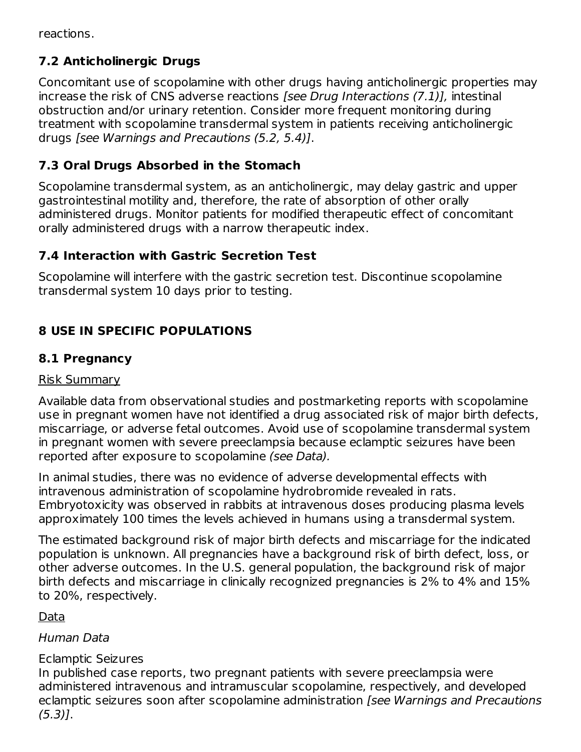reactions.

# **7.2 Anticholinergic Drugs**

Concomitant use of scopolamine with other drugs having anticholinergic properties may increase the risk of CNS adverse reactions [see Drug Interactions (7.1)], intestinal obstruction and/or urinary retention. Consider more frequent monitoring during treatment with scopolamine transdermal system in patients receiving anticholinergic drugs [see Warnings and Precautions (5.2, 5.4)].

# **7.3 Oral Drugs Absorbed in the Stomach**

Scopolamine transdermal system, as an anticholinergic, may delay gastric and upper gastrointestinal motility and, therefore, the rate of absorption of other orally administered drugs. Monitor patients for modified therapeutic effect of concomitant orally administered drugs with a narrow therapeutic index.

# **7.4 Interaction with Gastric Secretion Test**

Scopolamine will interfere with the gastric secretion test. Discontinue scopolamine transdermal system 10 days prior to testing.

# **8 USE IN SPECIFIC POPULATIONS**

## **8.1 Pregnancy**

#### Risk Summary

Available data from observational studies and postmarketing reports with scopolamine use in pregnant women have not identified a drug associated risk of major birth defects, miscarriage, or adverse fetal outcomes. Avoid use of scopolamine transdermal system in pregnant women with severe preeclampsia because eclamptic seizures have been reported after exposure to scopolamine (see Data).

In animal studies, there was no evidence of adverse developmental effects with intravenous administration of scopolamine hydrobromide revealed in rats. Embryotoxicity was observed in rabbits at intravenous doses producing plasma levels approximately 100 times the levels achieved in humans using a transdermal system.

The estimated background risk of major birth defects and miscarriage for the indicated population is unknown. All pregnancies have a background risk of birth defect, loss, or other adverse outcomes. In the U.S. general population, the background risk of major birth defects and miscarriage in clinically recognized pregnancies is 2% to 4% and 15% to 20%, respectively.

Data

#### Human Data

#### Eclamptic Seizures

In published case reports, two pregnant patients with severe preeclampsia were administered intravenous and intramuscular scopolamine, respectively, and developed eclamptic seizures soon after scopolamine administration [see Warnings and Precautions (5.3)].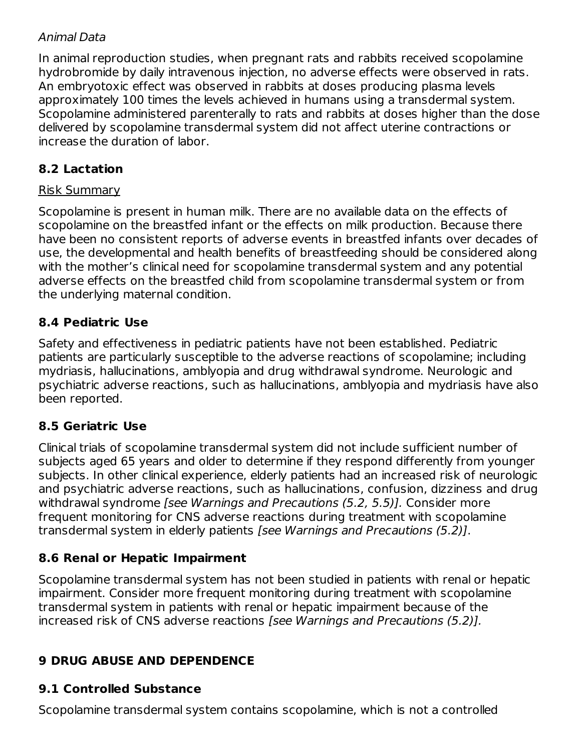#### Animal Data

In animal reproduction studies, when pregnant rats and rabbits received scopolamine hydrobromide by daily intravenous injection, no adverse effects were observed in rats. An embryotoxic effect was observed in rabbits at doses producing plasma levels approximately 100 times the levels achieved in humans using a transdermal system. Scopolamine administered parenterally to rats and rabbits at doses higher than the dose delivered by scopolamine transdermal system did not affect uterine contractions or increase the duration of labor.

# **8.2 Lactation**

#### Risk Summary

Scopolamine is present in human milk. There are no available data on the effects of scopolamine on the breastfed infant or the effects on milk production. Because there have been no consistent reports of adverse events in breastfed infants over decades of use, the developmental and health benefits of breastfeeding should be considered along with the mother's clinical need for scopolamine transdermal system and any potential adverse effects on the breastfed child from scopolamine transdermal system or from the underlying maternal condition.

#### **8.4 Pediatric Use**

Safety and effectiveness in pediatric patients have not been established. Pediatric patients are particularly susceptible to the adverse reactions of scopolamine; including mydriasis, hallucinations, amblyopia and drug withdrawal syndrome. Neurologic and psychiatric adverse reactions, such as hallucinations, amblyopia and mydriasis have also been reported.

#### **8.5 Geriatric Use**

Clinical trials of scopolamine transdermal system did not include sufficient number of subjects aged 65 years and older to determine if they respond differently from younger subjects. In other clinical experience, elderly patients had an increased risk of neurologic and psychiatric adverse reactions, such as hallucinations, confusion, dizziness and drug withdrawal syndrome *[see Warnings and Precautions (5.2, 5.5)]*. Consider more frequent monitoring for CNS adverse reactions during treatment with scopolamine transdermal system in elderly patients [see Warnings and Precautions (5.2)].

# **8.6 Renal or Hepatic Impairment**

Scopolamine transdermal system has not been studied in patients with renal or hepatic impairment. Consider more frequent monitoring during treatment with scopolamine transdermal system in patients with renal or hepatic impairment because of the increased risk of CNS adverse reactions [see Warnings and Precautions (5.2)].

#### **9 DRUG ABUSE AND DEPENDENCE**

# **9.1 Controlled Substance**

Scopolamine transdermal system contains scopolamine, which is not a controlled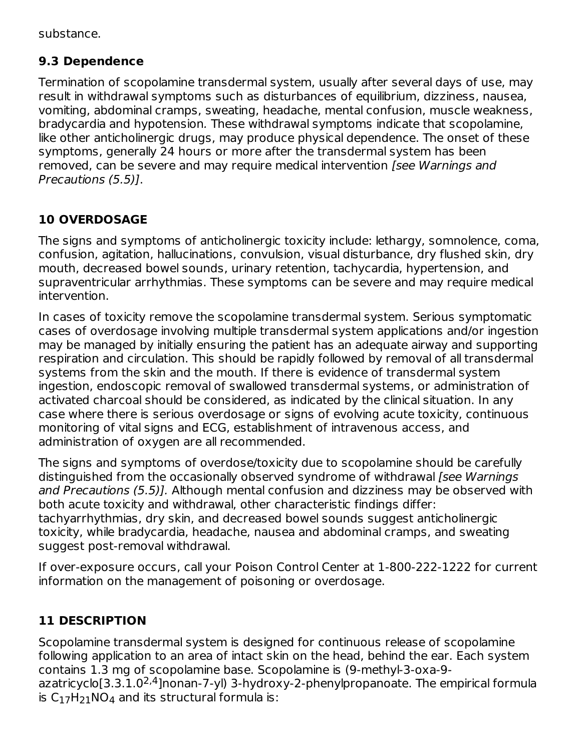substance.

## **9.3 Dependence**

Termination of scopolamine transdermal system, usually after several days of use, may result in withdrawal symptoms such as disturbances of equilibrium, dizziness, nausea, vomiting, abdominal cramps, sweating, headache, mental confusion, muscle weakness, bradycardia and hypotension. These withdrawal symptoms indicate that scopolamine, like other anticholinergic drugs, may produce physical dependence. The onset of these symptoms, generally 24 hours or more after the transdermal system has been removed, can be severe and may require medical intervention *[see Warnings and* Precautions (5.5)].

# **10 OVERDOSAGE**

The signs and symptoms of anticholinergic toxicity include: lethargy, somnolence, coma, confusion, agitation, hallucinations, convulsion, visual disturbance, dry flushed skin, dry mouth, decreased bowel sounds, urinary retention, tachycardia, hypertension, and supraventricular arrhythmias. These symptoms can be severe and may require medical intervention.

In cases of toxicity remove the scopolamine transdermal system. Serious symptomatic cases of overdosage involving multiple transdermal system applications and/or ingestion may be managed by initially ensuring the patient has an adequate airway and supporting respiration and circulation. This should be rapidly followed by removal of all transdermal systems from the skin and the mouth. If there is evidence of transdermal system ingestion, endoscopic removal of swallowed transdermal systems, or administration of activated charcoal should be considered, as indicated by the clinical situation. In any case where there is serious overdosage or signs of evolving acute toxicity, continuous monitoring of vital signs and ECG, establishment of intravenous access, and administration of oxygen are all recommended.

The signs and symptoms of overdose/toxicity due to scopolamine should be carefully distinguished from the occasionally observed syndrome of withdrawal [see Warnings] and Precautions (5.5)]. Although mental confusion and dizziness may be observed with both acute toxicity and withdrawal, other characteristic findings differ: tachyarrhythmias, dry skin, and decreased bowel sounds suggest anticholinergic toxicity, while bradycardia, headache, nausea and abdominal cramps, and sweating suggest post-removal withdrawal.

If over-exposure occurs, call your Poison Control Center at 1-800-222-1222 for current information on the management of poisoning or overdosage.

# **11 DESCRIPTION**

Scopolamine transdermal system is designed for continuous release of scopolamine following application to an area of intact skin on the head, behind the ear. Each system contains 1.3 mg of scopolamine base. Scopolamine is (9-methyl-3-oxa-9 azatricyclo[3.3.1.0<sup>2,4</sup>]nonan-7-yl) 3-hydroxy-2-phenylpropanoate. The empirical formula is  $C_{17}H_{21}NO_4$  and its structural formula is: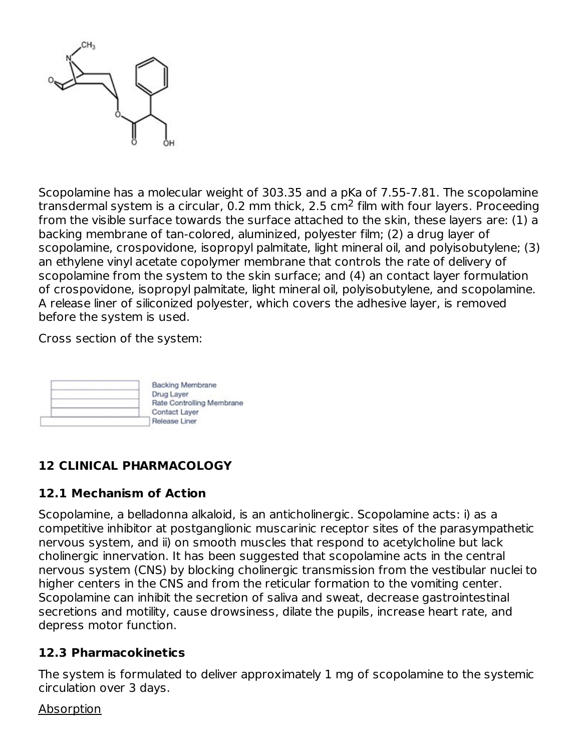

Scopolamine has a molecular weight of 303.35 and a pKa of 7.55-7.81. The scopolamine transdermal system is a circular, 0.2 mm thick, 2.5 cm $^2$  film with four layers. Proceeding from the visible surface towards the surface attached to the skin, these layers are: (1) a backing membrane of tan-colored, aluminized, polyester film; (2) a drug layer of scopolamine, crospovidone, isopropyl palmitate, light mineral oil, and polyisobutylene; (3) an ethylene vinyl acetate copolymer membrane that controls the rate of delivery of scopolamine from the system to the skin surface; and (4) an contact layer formulation of crospovidone, isopropyl palmitate, light mineral oil, polyisobutylene, and scopolamine. A release liner of siliconized polyester, which covers the adhesive layer, is removed before the system is used.

Cross section of the system:



# **12 CLINICAL PHARMACOLOGY**

#### **12.1 Mechanism of Action**

Scopolamine, a belladonna alkaloid, is an anticholinergic. Scopolamine acts: i) as a competitive inhibitor at postganglionic muscarinic receptor sites of the parasympathetic nervous system, and ii) on smooth muscles that respond to acetylcholine but lack cholinergic innervation. It has been suggested that scopolamine acts in the central nervous system (CNS) by blocking cholinergic transmission from the vestibular nuclei to higher centers in the CNS and from the reticular formation to the vomiting center. Scopolamine can inhibit the secretion of saliva and sweat, decrease gastrointestinal secretions and motility, cause drowsiness, dilate the pupils, increase heart rate, and depress motor function.

#### **12.3 Pharmacokinetics**

The system is formulated to deliver approximately 1 mg of scopolamine to the systemic circulation over 3 days.

Absorption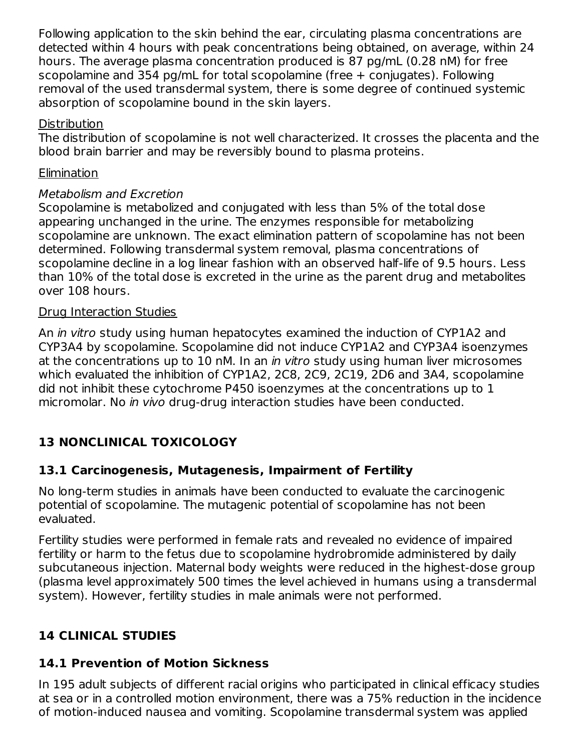Following application to the skin behind the ear, circulating plasma concentrations are detected within 4 hours with peak concentrations being obtained, on average, within 24 hours. The average plasma concentration produced is 87 pg/mL (0.28 nM) for free scopolamine and 354 pg/mL for total scopolamine (free + conjugates). Following removal of the used transdermal system, there is some degree of continued systemic absorption of scopolamine bound in the skin layers.

#### Distribution

The distribution of scopolamine is not well characterized. It crosses the placenta and the blood brain barrier and may be reversibly bound to plasma proteins.

#### Elimination

#### Metabolism and Excretion

Scopolamine is metabolized and conjugated with less than 5% of the total dose appearing unchanged in the urine. The enzymes responsible for metabolizing scopolamine are unknown. The exact elimination pattern of scopolamine has not been determined. Following transdermal system removal, plasma concentrations of scopolamine decline in a log linear fashion with an observed half-life of 9.5 hours. Less than 10% of the total dose is excreted in the urine as the parent drug and metabolites over 108 hours.

#### Drug Interaction Studies

An *in vitro* study using human hepatocytes examined the induction of CYP1A2 and CYP3A4 by scopolamine. Scopolamine did not induce CYP1A2 and CYP3A4 isoenzymes at the concentrations up to 10 nM. In an *in vitro* study using human liver microsomes which evaluated the inhibition of CYP1A2, 2C8, 2C9, 2C19, 2D6 and 3A4, scopolamine did not inhibit these cytochrome P450 isoenzymes at the concentrations up to 1 micromolar. No in vivo drug-drug interaction studies have been conducted.

# **13 NONCLINICAL TOXICOLOGY**

#### **13.1 Carcinogenesis, Mutagenesis, Impairment of Fertility**

No long-term studies in animals have been conducted to evaluate the carcinogenic potential of scopolamine. The mutagenic potential of scopolamine has not been evaluated.

Fertility studies were performed in female rats and revealed no evidence of impaired fertility or harm to the fetus due to scopolamine hydrobromide administered by daily subcutaneous injection. Maternal body weights were reduced in the highest-dose group (plasma level approximately 500 times the level achieved in humans using a transdermal system). However, fertility studies in male animals were not performed.

# **14 CLINICAL STUDIES**

#### **14.1 Prevention of Motion Sickness**

In 195 adult subjects of different racial origins who participated in clinical efficacy studies at sea or in a controlled motion environment, there was a 75% reduction in the incidence of motion-induced nausea and vomiting. Scopolamine transdermal system was applied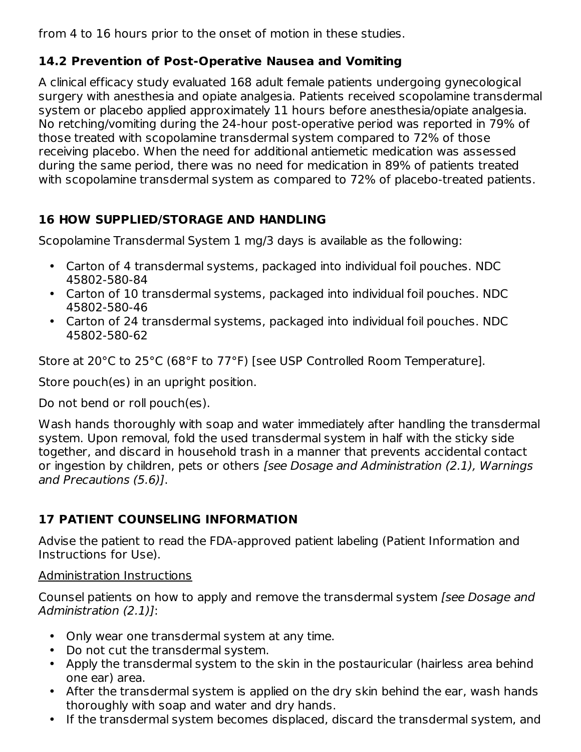from 4 to 16 hours prior to the onset of motion in these studies.

# **14.2 Prevention of Post-Operative Nausea and Vomiting**

A clinical efficacy study evaluated 168 adult female patients undergoing gynecological surgery with anesthesia and opiate analgesia. Patients received scopolamine transdermal system or placebo applied approximately 11 hours before anesthesia/opiate analgesia. No retching/vomiting during the 24-hour post-operative period was reported in 79% of those treated with scopolamine transdermal system compared to 72% of those receiving placebo. When the need for additional antiemetic medication was assessed during the same period, there was no need for medication in 89% of patients treated with scopolamine transdermal system as compared to 72% of placebo-treated patients.

# **16 HOW SUPPLIED/STORAGE AND HANDLING**

Scopolamine Transdermal System 1 mg/3 days is available as the following:

- Carton of 4 transdermal systems, packaged into individual foil pouches. NDC 45802-580-84
- Carton of 10 transdermal systems, packaged into individual foil pouches. NDC 45802-580-46
- Carton of 24 transdermal systems, packaged into individual foil pouches. NDC 45802-580-62

Store at 20°C to 25°C (68°F to 77°F) [see USP Controlled Room Temperature].

Store pouch(es) in an upright position.

Do not bend or roll pouch(es).

Wash hands thoroughly with soap and water immediately after handling the transdermal system. Upon removal, fold the used transdermal system in half with the sticky side together, and discard in household trash in a manner that prevents accidental contact or ingestion by children, pets or others [see Dosage and Administration (2.1), Warnings and Precautions (5.6)].

# **17 PATIENT COUNSELING INFORMATION**

Advise the patient to read the FDA-approved patient labeling (Patient Information and Instructions for Use).

#### Administration Instructions

Counsel patients on how to apply and remove the transdermal system [see Dosage and Administration (2.1)]:

- Only wear one transdermal system at any time.
- Do not cut the transdermal system.
- Apply the transdermal system to the skin in the postauricular (hairless area behind one ear) area.
- After the transdermal system is applied on the dry skin behind the ear, wash hands thoroughly with soap and water and dry hands.
- If the transdermal system becomes displaced, discard the transdermal system, and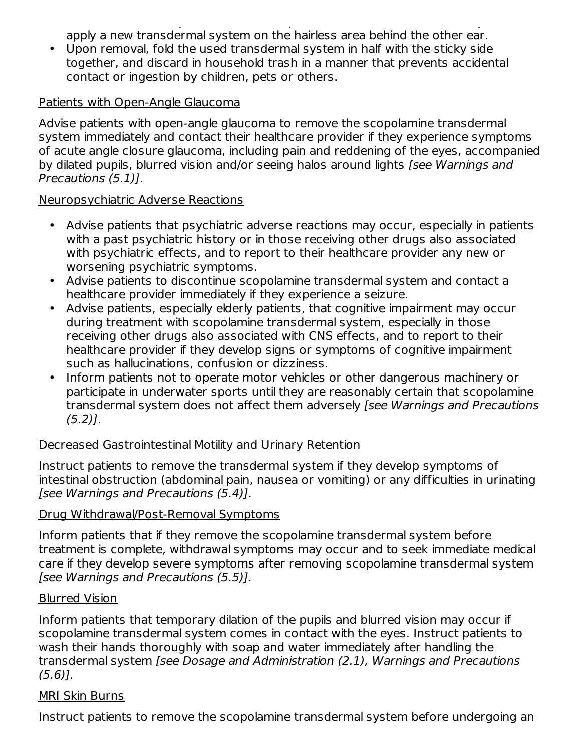If the transdermal system becomes displaced, discard the transdermal system, and apply a new transdermal system on the hairless area behind the other ear.

• Upon removal, fold the used transdermal system in half with the sticky side together, and discard in household trash in a manner that prevents accidental contact or ingestion by children, pets or others.

#### Patients with Open-Angle Glaucoma

Advise patients with open-angle glaucoma to remove the scopolamine transdermal system immediately and contact their healthcare provider if they experience symptoms of acute angle closure glaucoma, including pain and reddening of the eyes, accompanied by dilated pupils, blurred vision and/or seeing halos around lights [see Warnings and Precautions (5.1)].

#### Neuropsychiatric Adverse Reactions

- Advise patients that psychiatric adverse reactions may occur, especially in patients with a past psychiatric history or in those receiving other drugs also associated with psychiatric effects, and to report to their healthcare provider any new or worsening psychiatric symptoms.
- Advise patients to discontinue scopolamine transdermal system and contact a healthcare provider immediately if they experience a seizure.
- Advise patients, especially elderly patients, that cognitive impairment may occur during treatment with scopolamine transdermal system, especially in those receiving other drugs also associated with CNS effects, and to report to their healthcare provider if they develop signs or symptoms of cognitive impairment such as hallucinations, confusion or dizziness.
- Inform patients not to operate motor vehicles or other dangerous machinery or participate in underwater sports until they are reasonably certain that scopolamine transdermal system does not affect them adversely [see Warnings and Precautions  $(5.2)$ ].

#### Decreased Gastrointestinal Motility and Urinary Retention

Instruct patients to remove the transdermal system if they develop symptoms of intestinal obstruction (abdominal pain, nausea or vomiting) or any difficulties in urinating [see Warnings and Precautions (5.4)].

#### Drug Withdrawal/Post-Removal Symptoms

Inform patients that if they remove the scopolamine transdermal system before treatment is complete, withdrawal symptoms may occur and to seek immediate medical care if they develop severe symptoms after removing scopolamine transdermal system [see Warnings and Precautions (5.5)].

#### Blurred Vision

Inform patients that temporary dilation of the pupils and blurred vision may occur if scopolamine transdermal system comes in contact with the eyes. Instruct patients to wash their hands thoroughly with soap and water immediately after handling the transdermal system [see Dosage and Administration (2.1), Warnings and Precautions (5.6)].

#### MRI Skin Burns

Instruct patients to remove the scopolamine transdermal system before undergoing an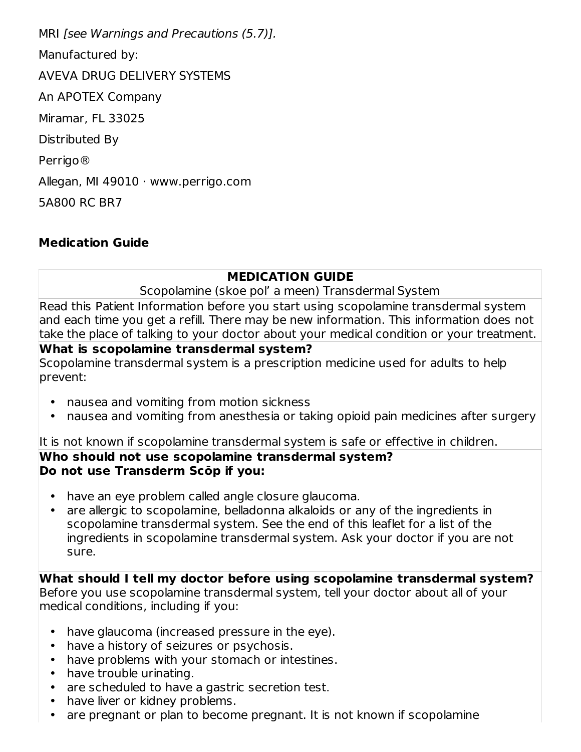MRI [see Warnings and Precautions (5.7)]. Manufactured by: AVEVA DRUG DELIVERY SYSTEMS An APOTEX Company Miramar, FL 33025 Distributed By Perrigo® Allegan, MI 49010 · www.perrigo.com 5A800 RC BR7

#### **Medication Guide**

#### **MEDICATION GUIDE**

Scopolamine (skoe pol' a meen) Transdermal System

Read this Patient Information before you start using scopolamine transdermal system and each time you get a refill. There may be new information. This information does not take the place of talking to your doctor about your medical condition or your treatment.

#### **What is scopolamine transdermal system?**

Scopolamine transdermal system is a prescription medicine used for adults to help prevent:

- nausea and vomiting from motion sickness
- nausea and vomiting from anesthesia or taking opioid pain medicines after surgery

It is not known if scopolamine transdermal system is safe or effective in children.

#### **Who should not use scopolamine transdermal system? Do not use Transderm Scōp if you:**

- have an eye problem called angle closure glaucoma.
- are allergic to scopolamine, belladonna alkaloids or any of the ingredients in scopolamine transdermal system. See the end of this leaflet for a list of the ingredients in scopolamine transdermal system. Ask your doctor if you are not sure.

**What should I tell my doctor before using scopolamine transdermal system?** Before you use scopolamine transdermal system, tell your doctor about all of your medical conditions, including if you:

- have glaucoma (increased pressure in the eye).
- have a history of seizures or psychosis.
- have problems with your stomach or intestines.
- have trouble urinating.
- are scheduled to have a gastric secretion test.
- have liver or kidney problems.
- are pregnant or plan to become pregnant. It is not known if scopolamine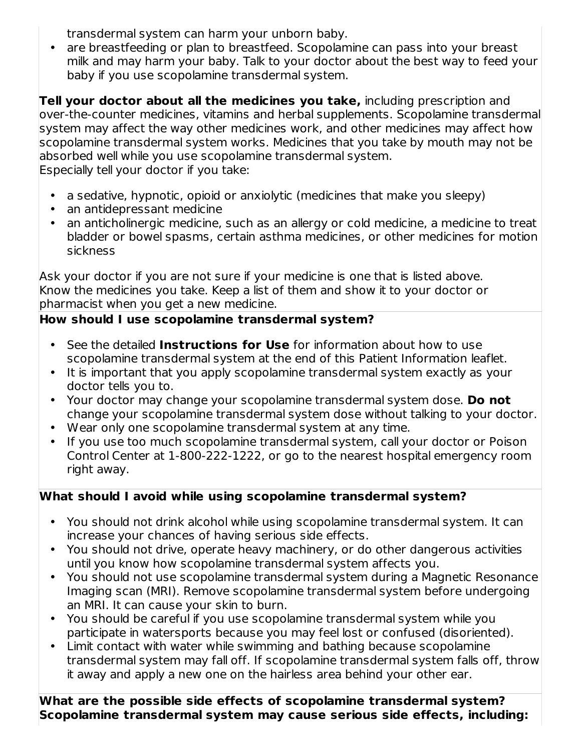transdermal system can harm your unborn baby.

• are breastfeeding or plan to breastfeed. Scopolamine can pass into your breast milk and may harm your baby. Talk to your doctor about the best way to feed your baby if you use scopolamine transdermal system.

**Tell your doctor about all the medicines you take,** including prescription and over-the-counter medicines, vitamins and herbal supplements. Scopolamine transdermal system may affect the way other medicines work, and other medicines may affect how scopolamine transdermal system works. Medicines that you take by mouth may not be absorbed well while you use scopolamine transdermal system. Especially tell your doctor if you take:

- a sedative, hypnotic, opioid or anxiolytic (medicines that make you sleepy)
- an antidepressant medicine
- an anticholinergic medicine, such as an allergy or cold medicine, a medicine to treat bladder or bowel spasms, certain asthma medicines, or other medicines for motion sickness

Ask your doctor if you are not sure if your medicine is one that is listed above. Know the medicines you take. Keep a list of them and show it to your doctor or pharmacist when you get a new medicine.

# **How should I use scopolamine transdermal system?**

- See the detailed **Instructions for Use** for information about how to use scopolamine transdermal system at the end of this Patient Information leaflet.
- It is important that you apply scopolamine transdermal system exactly as your doctor tells you to.
- Your doctor may change your scopolamine transdermal system dose. **Do not** change your scopolamine transdermal system dose without talking to your doctor.
- Wear only one scopolamine transdermal system at any time.
- If you use too much scopolamine transdermal system, call your doctor or Poison Control Center at 1-800-222-1222, or go to the nearest hospital emergency room right away.

# **What should I avoid while using scopolamine transdermal system?**

- You should not drink alcohol while using scopolamine transdermal system. It can increase your chances of having serious side effects.
- You should not drive, operate heavy machinery, or do other dangerous activities until you know how scopolamine transdermal system affects you.
- You should not use scopolamine transdermal system during a Magnetic Resonance Imaging scan (MRI). Remove scopolamine transdermal system before undergoing an MRI. It can cause your skin to burn.
- You should be careful if you use scopolamine transdermal system while you participate in watersports because you may feel lost or confused (disoriented).
- Limit contact with water while swimming and bathing because scopolamine transdermal system may fall off. If scopolamine transdermal system falls off, throw it away and apply a new one on the hairless area behind your other ear.

**What are the possible side effects of scopolamine transdermal system? Scopolamine transdermal system may cause serious side effects, including:**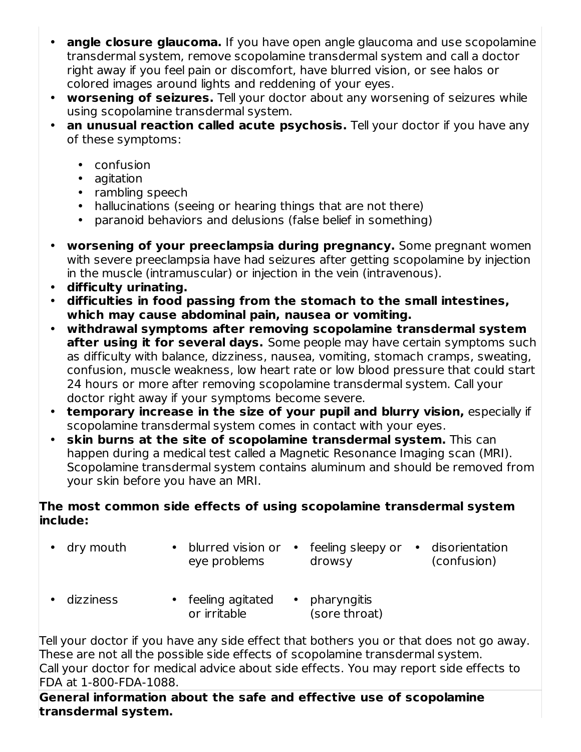- **angle closure glaucoma.** If you have open angle glaucoma and use scopolamine transdermal system, remove scopolamine transdermal system and call a doctor right away if you feel pain or discomfort, have blurred vision, or see halos or colored images around lights and reddening of your eyes.
- **worsening of seizures.** Tell your doctor about any worsening of seizures while using scopolamine transdermal system.
- **an unusual reaction called acute psychosis.** Tell your doctor if you have any of these symptoms:
	- confusion
	- agitation
	- rambling speech
	- hallucinations (seeing or hearing things that are not there)
	- paranoid behaviors and delusions (false belief in something)
- **worsening of your preeclampsia during pregnancy.** Some pregnant women with severe preeclampsia have had seizures after getting scopolamine by injection in the muscle (intramuscular) or injection in the vein (intravenous).
- **difficulty urinating.**
- **difficulties in food passing from the stomach to the small intestines, which may cause abdominal pain, nausea or vomiting.**
- **withdrawal symptoms after removing scopolamine transdermal system after using it for several days.** Some people may have certain symptoms such as difficulty with balance, dizziness, nausea, vomiting, stomach cramps, sweating, confusion, muscle weakness, low heart rate or low blood pressure that could start 24 hours or more after removing scopolamine transdermal system. Call your doctor right away if your symptoms become severe.
- **temporary increase in the size of your pupil and blurry vision,** especially if scopolamine transdermal system comes in contact with your eyes.
- **skin burns at the site of scopolamine transdermal system.** This can happen during a medical test called a Magnetic Resonance Imaging scan (MRI). Scopolamine transdermal system contains aluminum and should be removed from your skin before you have an MRI.

#### **The most common side effects of using scopolamine transdermal system include:**

- dry mouth blurred vision or feeling sleepy or disorientation eye problems drowsy (confusion)
- dizziness feeling agitated pharyngitis or irritable (sore throat)

Tell your doctor if you have any side effect that bothers you or that does not go away. These are not all the possible side effects of scopolamine transdermal system. Call your doctor for medical advice about side effects. You may report side effects to FDA at 1-800-FDA-1088.

**General information about the safe and effective use of scopolamine transdermal system.**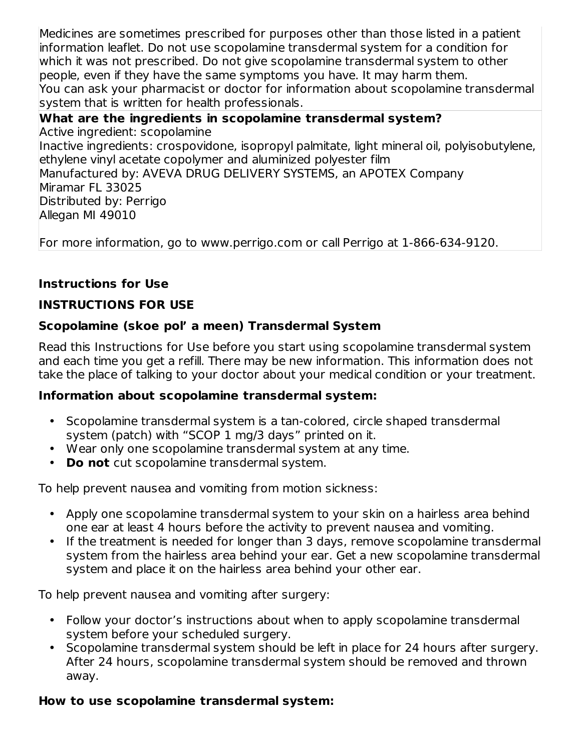Medicines are sometimes prescribed for purposes other than those listed in a patient information leaflet. Do not use scopolamine transdermal system for a condition for which it was not prescribed. Do not give scopolamine transdermal system to other people, even if they have the same symptoms you have. It may harm them. You can ask your pharmacist or doctor for information about scopolamine transdermal system that is written for health professionals.

#### **What are the ingredients in scopolamine transdermal system?** Active ingredient: scopolamine Inactive ingredients: crospovidone, isopropyl palmitate, light mineral oil, polyisobutylene, ethylene vinyl acetate copolymer and aluminized polyester film Manufactured by: AVEVA DRUG DELIVERY SYSTEMS, an APOTEX Company Miramar FL 33025 Distributed by: Perrigo Allegan MI 49010

For more information, go to www.perrigo.com or call Perrigo at 1-866-634-9120.

#### **Instructions for Use**

#### **INSTRUCTIONS FOR USE**

#### **Scopolamine (skoe pol' a meen) Transdermal System**

Read this Instructions for Use before you start using scopolamine transdermal system and each time you get a refill. There may be new information. This information does not take the place of talking to your doctor about your medical condition or your treatment.

#### **Information about scopolamine transdermal system:**

- Scopolamine transdermal system is a tan-colored, circle shaped transdermal system (patch) with "SCOP 1 mg/3 days" printed on it.
- Wear only one scopolamine transdermal system at any time.
- **Do not** cut scopolamine transdermal system.

To help prevent nausea and vomiting from motion sickness:

- Apply one scopolamine transdermal system to your skin on a hairless area behind one ear at least 4 hours before the activity to prevent nausea and vomiting.
- If the treatment is needed for longer than 3 days, remove scopolamine transdermal system from the hairless area behind your ear. Get a new scopolamine transdermal system and place it on the hairless area behind your other ear.

To help prevent nausea and vomiting after surgery:

- Follow your doctor's instructions about when to apply scopolamine transdermal system before your scheduled surgery.
- Scopolamine transdermal system should be left in place for 24 hours after surgery. After 24 hours, scopolamine transdermal system should be removed and thrown away.

#### **How to use scopolamine transdermal system:**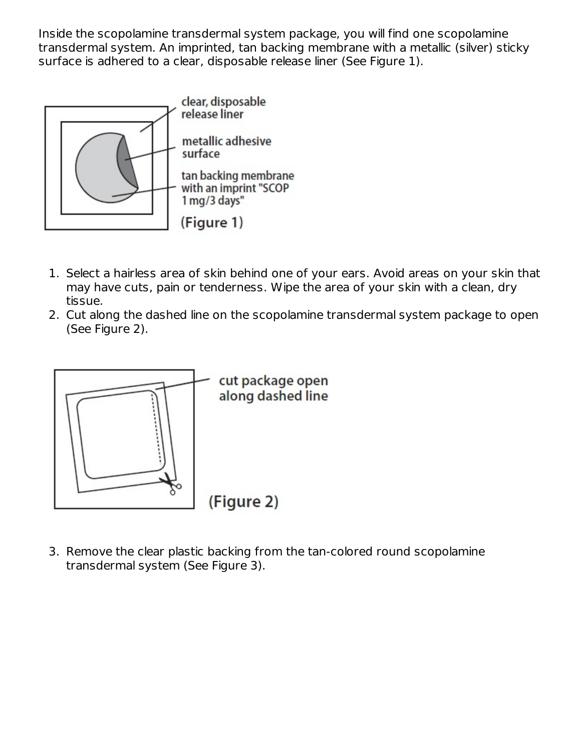Inside the scopolamine transdermal system package, you will find one scopolamine transdermal system. An imprinted, tan backing membrane with a metallic (silver) sticky surface is adhered to a clear, disposable release liner (See Figure 1).



- 1. Select a hairless area of skin behind one of your ears. Avoid areas on your skin that may have cuts, pain or tenderness. Wipe the area of your skin with a clean, dry tissue.
- 2. Cut along the dashed line on the scopolamine transdermal system package to open (See Figure 2).



3. Remove the clear plastic backing from the tan-colored round scopolamine transdermal system (See Figure 3).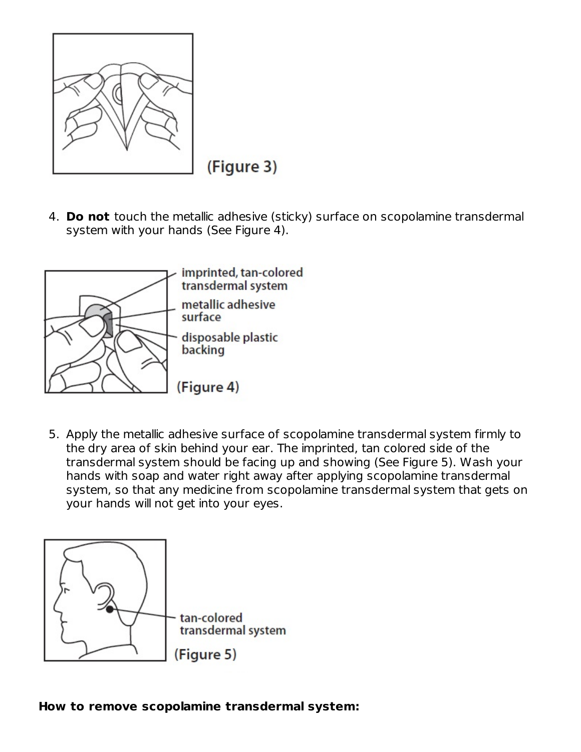

(Figure 3)

4. **Do not** touch the metallic adhesive (sticky) surface on scopolamine transdermal system with your hands (See Figure 4).



5. Apply the metallic adhesive surface of scopolamine transdermal system firmly to the dry area of skin behind your ear. The imprinted, tan colored side of the transdermal system should be facing up and showing (See Figure 5). Wash your hands with soap and water right away after applying scopolamine transdermal system, so that any medicine from scopolamine transdermal system that gets on your hands will not get into your eyes.

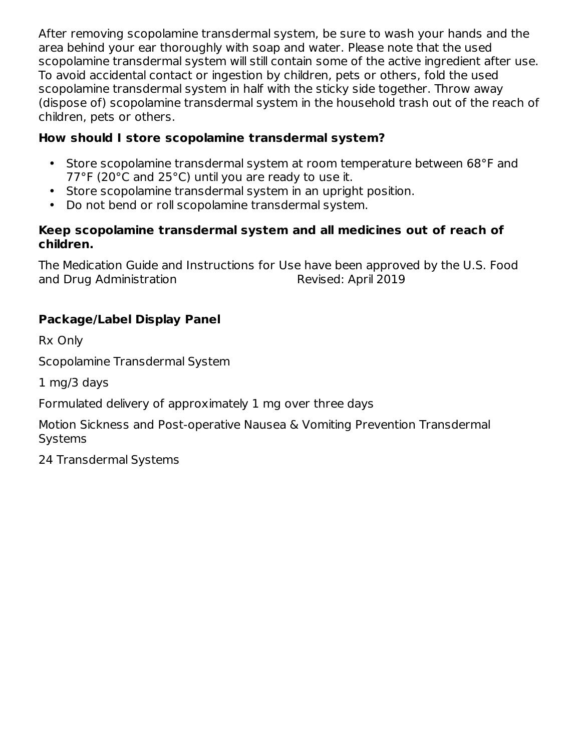After removing scopolamine transdermal system, be sure to wash your hands and the area behind your ear thoroughly with soap and water. Please note that the used scopolamine transdermal system will still contain some of the active ingredient after use. To avoid accidental contact or ingestion by children, pets or others, fold the used scopolamine transdermal system in half with the sticky side together. Throw away (dispose of) scopolamine transdermal system in the household trash out of the reach of children, pets or others.

# **How should I store scopolamine transdermal system?**

- Store scopolamine transdermal system at room temperature between 68°F and 77°F (20°C and 25°C) until you are ready to use it.
- Store scopolamine transdermal system in an upright position.
- Do not bend or roll scopolamine transdermal system.

#### **Keep scopolamine transdermal system and all medicines out of reach of children.**

The Medication Guide and Instructions for Use have been approved by the U.S. Food and Drug Administration and Drug Administration

# **Package/Label Display Panel**

Rx Only

Scopolamine Transdermal System

1 mg/3 days

Formulated delivery of approximately 1 mg over three days

Motion Sickness and Post-operative Nausea & Vomiting Prevention Transdermal **Systems** 

24 Transdermal Systems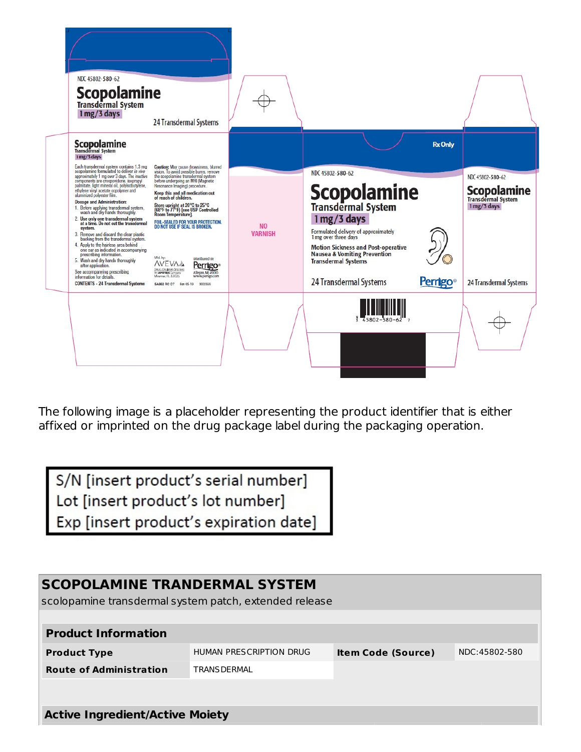

The following image is a placeholder representing the product identifier that is either affixed or imprinted on the drug package label during the packaging operation.

S/N [insert product's serial number] Lot [insert product's lot number] Exp [insert product's expiration date]

# **SCOPOLAMINE TRANDERMAL SYSTEM** scolopamine transdermal system patch, extended release **Product Information Product Type** HUMAN PRESCRIPTION DRUG **Item Code (Source)** NDC:45802-580 **Route of Administration** TRANSDERMAL

**Active Ingredient/Active Moiety**